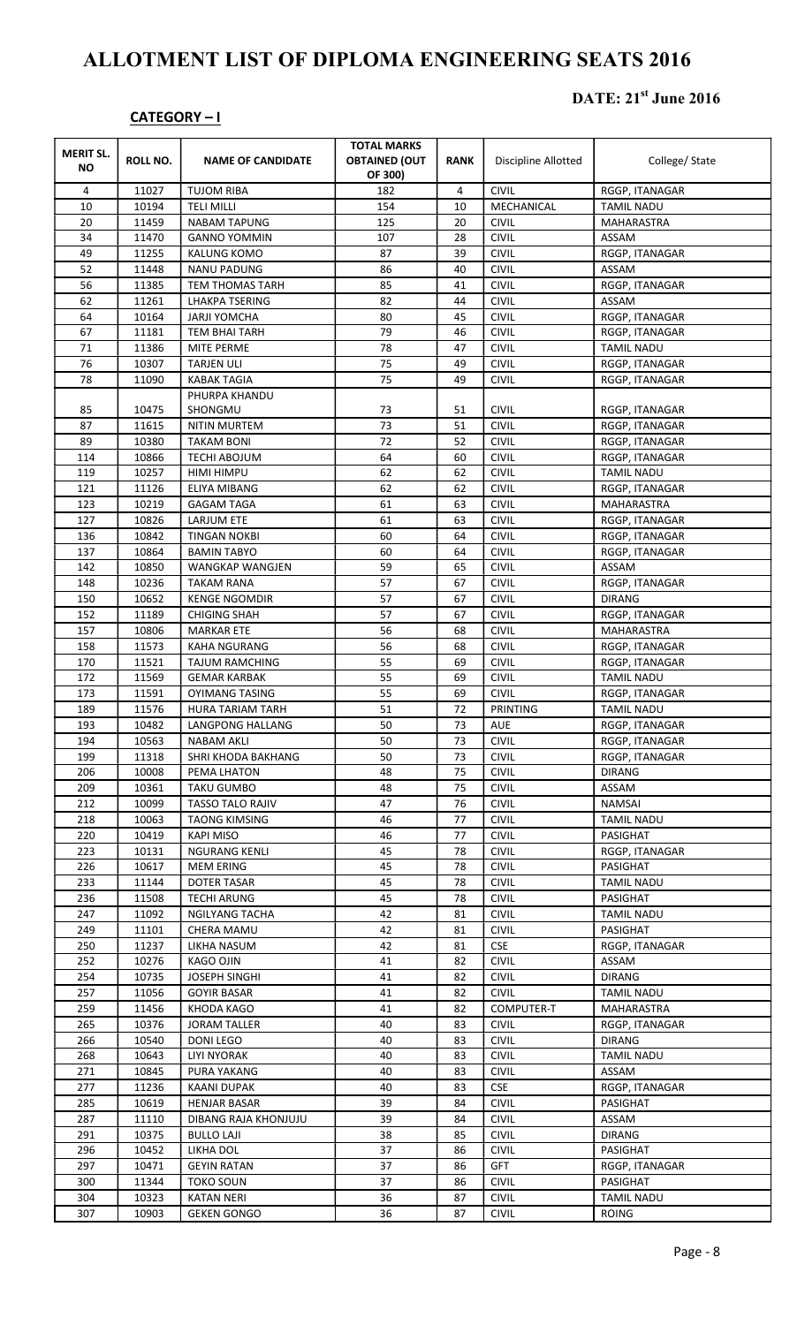## ALLOTMENT LIST OF DIPLOMA ENGINEERING SEATS 2016

## CATEGORY – I

## DATE: 21<sup>st</sup> June 2016

| <b>MERIT SL.</b><br><b>NO</b> | ROLL NO.       | <b>NAME OF CANDIDATE</b>                     | <b>TOTAL MARKS</b><br><b>OBTAINED (OUT</b><br>OF 300) | <b>RANK</b> | <b>Discipline Allotted</b>   | College/ State                      |
|-------------------------------|----------------|----------------------------------------------|-------------------------------------------------------|-------------|------------------------------|-------------------------------------|
| 4                             | 11027          | <b>TUJOM RIBA</b>                            | 182                                                   | 4           | <b>CIVIL</b>                 | RGGP, ITANAGAR                      |
| 10                            | 10194          | <b>TELI MILLI</b>                            | 154                                                   | 10          | MECHANICAL                   | <b>TAMIL NADU</b>                   |
| 20                            | 11459          | <b>NABAM TAPUNG</b>                          | 125                                                   | 20          | <b>CIVIL</b>                 | MAHARASTRA                          |
| 34                            | 11470          | <b>GANNO YOMMIN</b>                          | 107                                                   | 28          | <b>CIVIL</b>                 | ASSAM                               |
| 49                            | 11255          | <b>KALUNG KOMO</b>                           | 87                                                    | 39          | <b>CIVIL</b>                 | RGGP, ITANAGAR                      |
| 52                            | 11448          | <b>NANU PADUNG</b>                           | 86                                                    | 40          | <b>CIVIL</b>                 | ASSAM                               |
| 56                            | 11385          | <b>TEM THOMAS TARH</b>                       | 85                                                    | 41          | <b>CIVIL</b>                 | RGGP, ITANAGAR                      |
| 62                            | 11261          | <b>LHAKPA TSERING</b>                        | 82                                                    | 44          | <b>CIVIL</b>                 | ASSAM                               |
| 64                            | 10164          | <b>JARJI YOMCHA</b>                          | 80                                                    | 45          | <b>CIVIL</b>                 | RGGP, ITANAGAR                      |
| 67                            | 11181          | <b>TEM BHAI TARH</b>                         | 79                                                    | 46          | <b>CIVIL</b>                 | RGGP, ITANAGAR                      |
| 71                            | 11386          | <b>MITE PERME</b>                            | 78                                                    | 47          | <b>CIVIL</b>                 | <b>TAMIL NADU</b>                   |
| 76                            | 10307          | <b>TARJEN ULI</b>                            | 75                                                    | 49          | <b>CIVIL</b>                 | RGGP, ITANAGAR                      |
| 78                            | 11090          | <b>KABAK TAGIA</b>                           | 75                                                    | 49          | <b>CIVIL</b>                 | RGGP, ITANAGAR                      |
|                               |                | PHURPA KHANDU                                |                                                       |             |                              |                                     |
| 85                            | 10475          | SHONGMU                                      | 73                                                    | 51          | <b>CIVIL</b>                 | RGGP, ITANAGAR                      |
| 87                            | 11615          | <b>NITIN MURTEM</b>                          | 73                                                    | 51          | <b>CIVIL</b>                 | RGGP, ITANAGAR                      |
| 89                            | 10380          | <b>TAKAM BONI</b>                            | 72                                                    | 52          | <b>CIVIL</b>                 | RGGP, ITANAGAR                      |
| 114                           | 10866          | <b>TECHI ABOJUM</b>                          | 64                                                    | 60          | <b>CIVIL</b>                 | RGGP, ITANAGAR                      |
| 119                           | 10257          | HIMI HIMPU                                   | 62                                                    | 62          | <b>CIVIL</b>                 | <b>TAMIL NADU</b>                   |
| 121                           | 11126          | ELIYA MIBANG                                 | 62                                                    | 62          | <b>CIVIL</b>                 | RGGP, ITANAGAR                      |
| 123                           | 10219          | <b>GAGAM TAGA</b>                            | 61                                                    | 63          | <b>CIVIL</b>                 | MAHARASTRA                          |
| 127                           | 10826          | LARJUM ETE                                   | 61                                                    | 63          | <b>CIVIL</b>                 | RGGP, ITANAGAR                      |
| 136                           | 10842          | <b>TINGAN NOKBI</b>                          | 60                                                    | 64          | <b>CIVIL</b>                 | RGGP, ITANAGAR                      |
| 137                           | 10864          | <b>BAMIN TABYO</b>                           | 60                                                    | 64          | <b>CIVIL</b>                 | RGGP, ITANAGAR                      |
| 142                           | 10850          | WANGKAP WANGJEN                              | 59                                                    | 65          | <b>CIVIL</b>                 | ASSAM                               |
| 148                           | 10236          | <b>TAKAM RANA</b>                            | 57                                                    | 67          | <b>CIVIL</b>                 | RGGP, ITANAGAR                      |
| 150                           | 10652          | <b>KENGE NGOMDIR</b>                         | 57                                                    | 67          | <b>CIVIL</b>                 | <b>DIRANG</b>                       |
| 152                           | 11189          | <b>CHIGING SHAH</b>                          | 57                                                    | 67          | <b>CIVIL</b>                 | RGGP, ITANAGAR                      |
| 157                           | 10806          | <b>MARKAR ETE</b>                            | 56                                                    | 68          | <b>CIVIL</b>                 | MAHARASTRA                          |
| 158                           | 11573          | <b>KAHA NGURANG</b>                          | 56                                                    | 68          | <b>CIVIL</b>                 | RGGP, ITANAGAR                      |
| 170                           | 11521          | <b>TAJUM RAMCHING</b>                        | 55<br>55                                              | 69<br>69    | <b>CIVIL</b><br><b>CIVIL</b> | RGGP, ITANAGAR                      |
| 172<br>173                    | 11569<br>11591 | <b>GEMAR KARBAK</b><br><b>OYIMANG TASING</b> | 55                                                    | 69          | <b>CIVIL</b>                 | <b>TAMIL NADU</b>                   |
| 189                           | 11576          | <b>HURA TARIAM TARH</b>                      | 51                                                    | 72          | PRINTING                     | RGGP, ITANAGAR<br><b>TAMIL NADU</b> |
| 193                           | 10482          | LANGPONG HALLANG                             | 50                                                    | 73          | AUE                          | RGGP, ITANAGAR                      |
| 194                           | 10563          | NABAM AKLI                                   | 50                                                    | 73          | <b>CIVIL</b>                 | RGGP, ITANAGAR                      |
| 199                           | 11318          | SHRI KHODA BAKHANG                           | 50                                                    | 73          | <b>CIVIL</b>                 | RGGP, ITANAGAR                      |
| 206                           | 10008          | PEMA LHATON                                  | 48                                                    | 75          | <b>CIVIL</b>                 | <b>DIRANG</b>                       |
| 209                           | 10361          | TAKU GUMBO                                   | 48                                                    | 75          | <b>CIVIL</b>                 | ASSAM                               |
| 212                           | 10099          | TASSO TALO RAJIV                             | 47                                                    | 76          | <b>CIVIL</b>                 | NAMSAI                              |
| 218                           | 10063          | <b>TAONG KIMSING</b>                         | 46                                                    | 77          | <b>CIVIL</b>                 | <b>TAMIL NADU</b>                   |
| 220                           | 10419          | <b>KAPI MISO</b>                             | 46                                                    | 77          | <b>CIVIL</b>                 | PASIGHAT                            |
| 223                           | 10131          | <b>NGURANG KENLI</b>                         | 45                                                    | 78          | <b>CIVIL</b>                 | RGGP, ITANAGAR                      |
| 226                           | 10617          | <b>MEM ERING</b>                             | 45                                                    | 78          | <b>CIVIL</b>                 | PASIGHAT                            |
| 233                           | 11144          | DOTER TASAR                                  | 45                                                    | 78          | <b>CIVIL</b>                 | TAMIL NADU                          |
| 236                           | 11508          | <b>TECHI ARUNG</b>                           | 45                                                    | 78          | <b>CIVIL</b>                 | PASIGHAT                            |
| 247                           | 11092          | NGILYANG TACHA                               | 42                                                    | 81          | <b>CIVIL</b>                 | TAMIL NADU                          |
| 249                           | 11101          | CHERA MAMU                                   | 42                                                    | 81          | <b>CIVIL</b>                 | PASIGHAT                            |
| 250                           | 11237          | LIKHA NASUM                                  | 42                                                    | 81          | <b>CSE</b>                   | RGGP, ITANAGAR                      |
| 252                           | 10276          | KAGO OJIN                                    | 41                                                    | 82          | <b>CIVIL</b>                 | ASSAM                               |
| 254                           | 10735          | <b>JOSEPH SINGHI</b>                         | 41                                                    | 82          | <b>CIVIL</b>                 | DIRANG                              |
| 257                           | 11056          | <b>GOYIR BASAR</b>                           | 41                                                    | 82          | <b>CIVIL</b>                 | TAMIL NADU                          |
| 259                           | 11456          | KHODA KAGO                                   | 41                                                    | 82          | COMPUTER-T                   | MAHARASTRA                          |
| 265                           | 10376          | JORAM TALLER                                 | 40                                                    | 83          | <b>CIVIL</b>                 | RGGP, ITANAGAR                      |
| 266                           | 10540          | DONI LEGO                                    | 40                                                    | 83          | <b>CIVIL</b>                 | <b>DIRANG</b>                       |
| 268                           | 10643          | LIYI NYORAK                                  | 40                                                    | 83          | <b>CIVIL</b>                 | <b>TAMIL NADU</b>                   |
| 271                           | 10845          | <b>PURA YAKANG</b>                           | 40                                                    | 83          | <b>CIVIL</b>                 | ASSAM                               |
| 277                           | 11236          | KAANI DUPAK                                  | 40                                                    | 83          | <b>CSE</b>                   | RGGP, ITANAGAR                      |
| 285                           | 10619          | <b>HENJAR BASAR</b>                          | 39                                                    | 84          | <b>CIVIL</b>                 | PASIGHAT                            |
| 287                           | 11110          | DIBANG RAJA KHONJUJU                         | 39                                                    | 84          | <b>CIVIL</b>                 | ASSAM                               |
| 291                           | 10375          | <b>BULLO LAJI</b>                            | 38                                                    | 85          | <b>CIVIL</b>                 | <b>DIRANG</b>                       |
| 296                           | 10452          | LIKHA DOL                                    | 37                                                    | 86          | <b>CIVIL</b>                 | PASIGHAT                            |
| 297                           | 10471          | <b>GEYIN RATAN</b>                           | 37                                                    | 86          | <b>GFT</b>                   | RGGP, ITANAGAR                      |
| 300                           | 11344          | <b>TOKO SOUN</b>                             | 37                                                    | 86          | <b>CIVIL</b>                 | PASIGHAT                            |
| 304                           | 10323          | <b>KATAN NERI</b>                            | 36                                                    | 87          | <b>CIVIL</b>                 | TAMIL NADU                          |
| 307                           | 10903          | <b>GEKEN GONGO</b>                           | 36                                                    | 87          | <b>CIVIL</b>                 | ROING                               |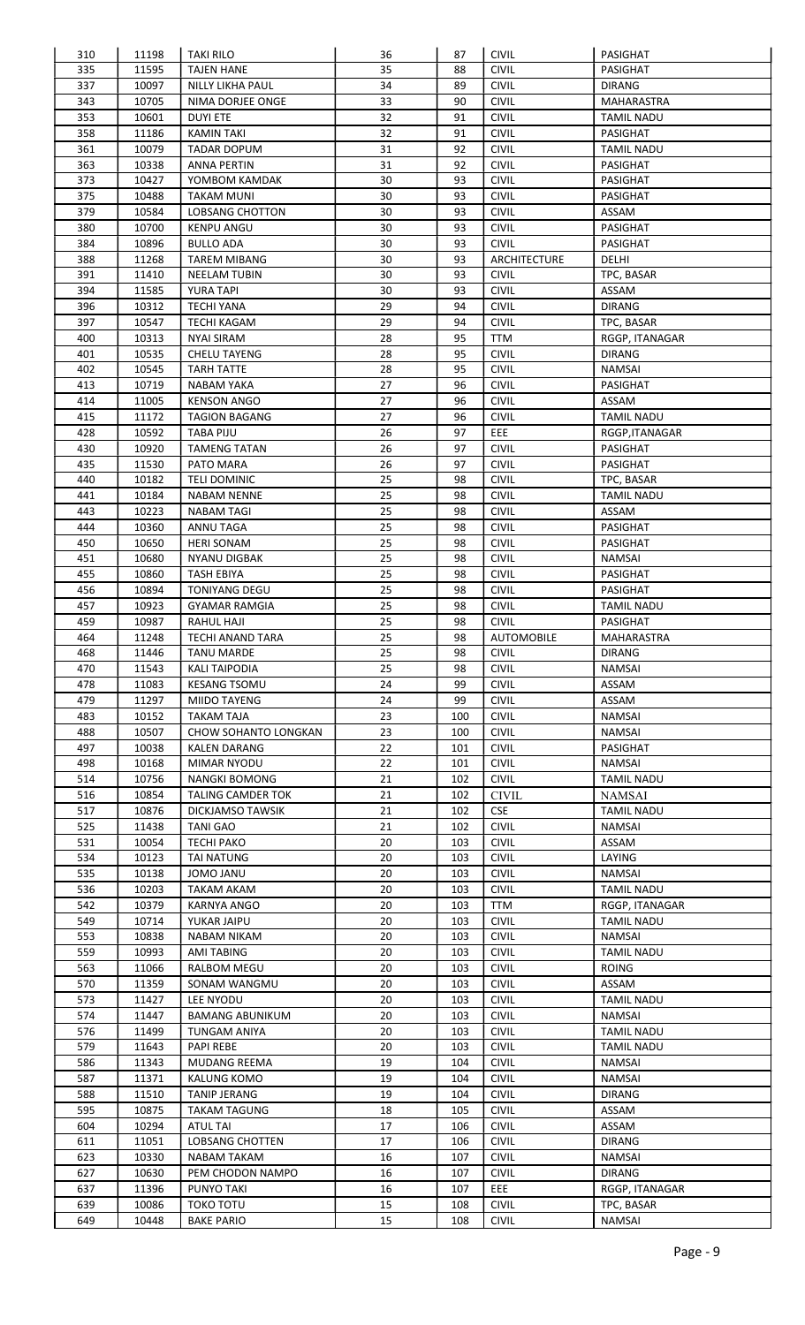| 310        | 11198          | <b>TAKI RILO</b>               | 36       | 87         | <b>CIVIL</b>                 | PASIGHAT             |
|------------|----------------|--------------------------------|----------|------------|------------------------------|----------------------|
| 335        | 11595          | <b>TAJEN HANE</b>              | 35       | 88         | <b>CIVIL</b>                 | <b>PASIGHAT</b>      |
| 337        | 10097          | <b>NILLY LIKHA PAUL</b>        | 34       | 89         | <b>CIVIL</b>                 | <b>DIRANG</b>        |
| 343        | 10705          | NIMA DORJEE ONGE               | 33       | 90         | <b>CIVIL</b>                 | MAHARASTRA           |
| 353        | 10601          | <b>DUYI ETE</b>                | 32       | 91         | <b>CIVIL</b>                 | <b>TAMIL NADU</b>    |
| 358        | 11186          | <b>KAMIN TAKI</b>              | 32       | 91         | <b>CIVIL</b>                 | <b>PASIGHAT</b>      |
| 361        | 10079          | <b>TADAR DOPUM</b>             | 31       | 92         | <b>CIVIL</b>                 | <b>TAMIL NADU</b>    |
| 363        | 10338          | ANNA PERTIN                    | 31       | 92         | <b>CIVIL</b>                 | PASIGHAT             |
| 373        | 10427          | YOMBOM KAMDAK                  | 30       | 93         | <b>CIVIL</b>                 | PASIGHAT             |
| 375        | 10488          | TAKAM MUNI                     | 30       | 93         | <b>CIVIL</b>                 | PASIGHAT             |
| 379        | 10584          | LOBSANG CHOTTON                | 30       | 93         | <b>CIVIL</b>                 | ASSAM                |
| 380        | 10700          | <b>KENPU ANGU</b>              | 30       | 93         | <b>CIVIL</b>                 | <b>PASIGHAT</b>      |
| 384        | 10896          | <b>BULLO ADA</b>               | 30       | 93         | <b>CIVIL</b>                 | PASIGHAT             |
| 388        |                |                                | 30       | 93         |                              |                      |
|            | 11268          | <b>TAREM MIBANG</b>            |          |            | ARCHITECTURE                 | DELHI                |
| 391        | 11410          | <b>NEELAM TUBIN</b>            | 30       | 93         | <b>CIVIL</b>                 | TPC, BASAR           |
| 394        | 11585          | <b>YURA TAPI</b>               | 30       | 93         | <b>CIVIL</b>                 | ASSAM                |
| 396        | 10312          | <b>TECHI YANA</b>              | 29       | 94         | <b>CIVIL</b>                 | <b>DIRANG</b>        |
| 397        | 10547          | <b>TECHI KAGAM</b>             | 29       | 94         | <b>CIVIL</b>                 | TPC, BASAR           |
| 400        | 10313          | <b>NYAI SIRAM</b>              | 28       | 95         | TTM                          | RGGP, ITANAGAR       |
| 401        | 10535          | <b>CHELU TAYENG</b>            | 28       | 95         | <b>CIVIL</b>                 | <b>DIRANG</b>        |
| 402        | 10545          | <b>TARH TATTE</b>              | 28       | 95         | <b>CIVIL</b>                 | <b>NAMSAI</b>        |
| 413        | 10719          | <b>NABAM YAKA</b>              | 27       | 96         | <b>CIVIL</b>                 | PASIGHAT             |
| 414        | 11005          | <b>KENSON ANGO</b>             | 27       | 96         | <b>CIVIL</b>                 | ASSAM                |
| 415        | 11172          | <b>TAGION BAGANG</b>           | 27       | 96         | <b>CIVIL</b>                 | <b>TAMIL NADU</b>    |
| 428        | 10592          | <b>TABA PIJU</b>               | 26       | 97         | EEE                          | RGGP, ITANAGAR       |
| 430        | 10920          | <b>TAMENG TATAN</b>            | 26       | 97         | <b>CIVIL</b>                 | PASIGHAT             |
| 435        | 11530          | PATO MARA                      | 26       | 97         | <b>CIVIL</b>                 | PASIGHAT             |
| 440        | 10182          | <b>TELI DOMINIC</b>            | 25       | 98         | <b>CIVIL</b>                 | TPC, BASAR           |
| 441        | 10184          | NABAM NENNE                    | 25       | 98         | <b>CIVIL</b>                 | <b>TAMIL NADU</b>    |
| 443        | 10223          | NABAM TAGI                     | 25       | 98         | <b>CIVIL</b>                 | ASSAM                |
| 444        | 10360          | ANNU TAGA                      | 25       | 98         | <b>CIVIL</b>                 | PASIGHAT             |
| 450        | 10650          | <b>HERI SONAM</b>              | 25       | 98         | <b>CIVIL</b>                 | <b>PASIGHAT</b>      |
| 451        | 10680          | <b>NYANU DIGBAK</b>            | 25       | 98         | <b>CIVIL</b>                 | <b>NAMSAI</b>        |
| 455        | 10860          | TASH EBIYA                     | 25       | 98         | <b>CIVIL</b>                 | PASIGHAT             |
| 456        | 10894          | <b>TONIYANG DEGU</b>           | 25       | 98         | <b>CIVIL</b>                 | PASIGHAT             |
|            |                |                                |          |            |                              |                      |
| 457        | 10923          | <b>GYAMAR RAMGIA</b>           | 25       | 98         | <b>CIVIL</b>                 | <b>TAMIL NADU</b>    |
| 459        | 10987          | RAHUL HAJI                     | 25       | 98         | <b>CIVIL</b>                 | PASIGHAT             |
| 464        | 11248          | TECHI ANAND TARA               | 25       | 98         | AUTOMOBILE                   | MAHARASTRA           |
| 468        | 11446          | TANU MARDE                     | 25       | 98         | <b>CIVIL</b>                 | <b>DIRANG</b>        |
| 470        | 11543          | KALI TAIPODIA                  | 25       | 98         | <b>CIVIL</b>                 | <b>NAMSAI</b>        |
| 478        | 11083          | <b>KESANG TSOMU</b>            | 24       | 99         | <b>CIVIL</b>                 | ASSAM                |
| 479        | 11297          | MIIDO TAYENG                   | 24       | 99         | <b>CIVIL</b>                 | ASSAM                |
| 483        | 10152          | TAKAM TAJA                     | 23       | 100        | <b>CIVIL</b>                 | <b>NAMSAI</b>        |
| 488        | 10507          | CHOW SOHANTO LONGKAN           | 23       | 100        | <b>CIVIL</b>                 | NAMSAI               |
| 497        | 10038          | KALEN DARANG                   |          |            |                              |                      |
| 498        | 10168          |                                | 22       | 101        | <b>CIVIL</b>                 | PASIGHAT             |
| 514        |                | MIMAR NYODU                    | 22       | 101        | <b>CIVIL</b>                 | NAMSAI               |
|            | 10756          | <b>NANGKI BOMONG</b>           | 21       | 102        | <b>CIVIL</b>                 | <b>TAMIL NADU</b>    |
| 516        | 10854          | TALING CAMDER TOK              | 21       | 102        | <b>CIVIL</b>                 | NAMSAI               |
| 517        | 10876          | DICKJAMSO TAWSIK               | 21       | 102        | <b>CSE</b>                   | <b>TAMIL NADU</b>    |
| 525        | 11438          | TANI GAO                       | 21       | 102        | <b>CIVIL</b>                 | <b>NAMSAI</b>        |
|            |                |                                | 20       | 103        |                              |                      |
| 531<br>534 | 10054<br>10123 | TECHI PAKO<br>TAI NATUNG       | 20       | 103        | <b>CIVIL</b><br><b>CIVIL</b> | ASSAM<br>LAYING      |
|            |                |                                |          | 103        |                              |                      |
| 535        | 10138          | <b>UNAL OMOL</b>               | 20       |            | <b>CIVIL</b>                 | NAMSAI               |
| 536        | 10203          | TAKAM AKAM                     | 20       | 103        | <b>CIVIL</b>                 | <b>TAMIL NADU</b>    |
| 542        | 10379          | KARNYA ANGO                    | 20       | 103        | <b>TTM</b>                   | RGGP, ITANAGAR       |
| 549        | 10714          | YUKAR JAIPU                    | 20       | 103        | <b>CIVIL</b>                 | <b>TAMIL NADU</b>    |
| 553        | 10838          | NABAM NIKAM                    | 20       | 103        | <b>CIVIL</b>                 | NAMSAI               |
| 559        | 10993          | <b>AMI TABING</b>              | 20       | 103        | <b>CIVIL</b>                 | <b>TAMIL NADU</b>    |
| 563        | 11066          | RALBOM MEGU                    | 20       | 103        | <b>CIVIL</b>                 | <b>ROING</b>         |
| 570        | 11359          | SONAM WANGMU                   | 20       | 103        | <b>CIVIL</b>                 | ASSAM                |
| 573        | 11427          | LEE NYODU                      | 20       | 103        | <b>CIVIL</b>                 | <b>TAMIL NADU</b>    |
| 574        | 11447          | <b>BAMANG ABUNIKUM</b>         | 20       | 103        | <b>CIVIL</b>                 | <b>NAMSAI</b>        |
| 576        | 11499          | TUNGAM ANIYA                   | 20       | 103        | <b>CIVIL</b>                 | <b>TAMIL NADU</b>    |
| 579        | 11643          | PAPI REBE                      | 20       | 103        | <b>CIVIL</b>                 | <b>TAMIL NADU</b>    |
| 586        | 11343          | MUDANG REEMA                   | 19       | 104        | <b>CIVIL</b>                 | <b>NAMSAI</b>        |
| 587        | 11371          | <b>KALUNG KOMO</b>             | 19       | 104        | <b>CIVIL</b>                 | <b>NAMSAI</b>        |
| 588        | 11510          | <b>TANIP JERANG</b>            | 19       | 104        | <b>CIVIL</b>                 | <b>DIRANG</b>        |
| 595        | 10875          | <b>TAKAM TAGUNG</b>            | 18       | 105        | <b>CIVIL</b>                 | ASSAM                |
|            |                | <b>ATUL TAI</b>                |          | 106        |                              | ASSAM                |
| 604<br>611 | 10294<br>11051 | LOBSANG CHOTTEN                | 17<br>17 | 106        | <b>CIVIL</b><br><b>CIVIL</b> | <b>DIRANG</b>        |
|            |                |                                |          |            |                              |                      |
| 623        | 10330          | NABAM TAKAM                    | 16       | 107        | <b>CIVIL</b>                 | <b>NAMSAI</b>        |
| 627        | 10630          | PEM CHODON NAMPO               | 16       | 107        | <b>CIVIL</b>                 | <b>DIRANG</b>        |
| 637        | 11396          | <b>PUNYO TAKI</b>              | 16       | 107        | EEE                          | RGGP, ITANAGAR       |
| 639<br>649 | 10086<br>10448 | TOKO TOTU<br><b>BAKE PARIO</b> | 15<br>15 | 108<br>108 | <b>CIVIL</b><br><b>CIVIL</b> | TPC, BASAR<br>NAMSAI |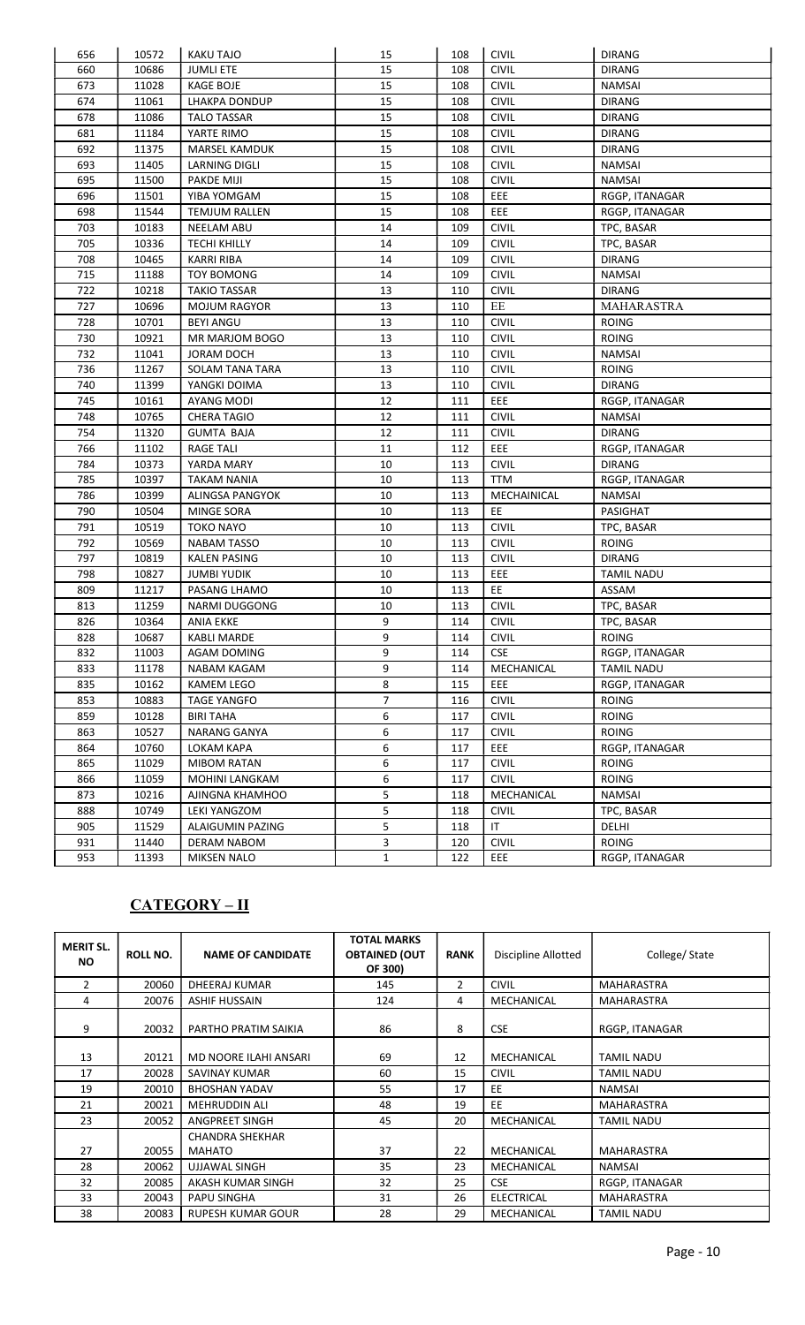| 656 | 10572 | <b>KAKU TAJO</b>     | 15             | 108 | <b>CIVIL</b> | <b>DIRANG</b>     |
|-----|-------|----------------------|----------------|-----|--------------|-------------------|
| 660 | 10686 | <b>JUMLI ETE</b>     | 15             | 108 | <b>CIVIL</b> | <b>DIRANG</b>     |
| 673 | 11028 | <b>KAGE BOJE</b>     | 15             | 108 | <b>CIVIL</b> | <b>NAMSAI</b>     |
| 674 | 11061 | <b>LHAKPA DONDUP</b> | 15             | 108 | <b>CIVIL</b> | <b>DIRANG</b>     |
| 678 | 11086 | <b>TALO TASSAR</b>   | 15             | 108 | <b>CIVIL</b> | <b>DIRANG</b>     |
| 681 | 11184 | YARTE RIMO           | 15             | 108 | <b>CIVIL</b> | <b>DIRANG</b>     |
| 692 | 11375 | MARSEL KAMDUK        | 15             | 108 | <b>CIVIL</b> | <b>DIRANG</b>     |
| 693 | 11405 | <b>LARNING DIGLI</b> | 15             | 108 | <b>CIVIL</b> | <b>NAMSAI</b>     |
| 695 | 11500 | <b>PAKDE MIJI</b>    | 15             | 108 | <b>CIVIL</b> | <b>NAMSAI</b>     |
| 696 | 11501 | YIBA YOMGAM          | 15             | 108 | EEE          | RGGP, ITANAGAR    |
| 698 | 11544 | <b>TEMJUM RALLEN</b> | 15             | 108 | EEE          | RGGP, ITANAGAR    |
| 703 | 10183 | NEELAM ABU           | 14             | 109 | <b>CIVIL</b> | TPC, BASAR        |
| 705 | 10336 | <b>TECHI KHILLY</b>  | 14             | 109 | <b>CIVIL</b> | TPC, BASAR        |
| 708 | 10465 | <b>KARRI RIBA</b>    | 14             | 109 | <b>CIVIL</b> | <b>DIRANG</b>     |
| 715 | 11188 | <b>TOY BOMONG</b>    | 14             | 109 | <b>CIVIL</b> | <b>NAMSAI</b>     |
| 722 | 10218 | <b>TAKIO TASSAR</b>  | 13             | 110 | <b>CIVIL</b> | <b>DIRANG</b>     |
| 727 | 10696 | <b>MOJUM RAGYOR</b>  | 13             | 110 | $\rm EE$     | MAHARASTRA        |
| 728 | 10701 | <b>BEYI ANGU</b>     | 13             | 110 | <b>CIVIL</b> | <b>ROING</b>      |
| 730 | 10921 | MR MARJOM BOGO       | 13             | 110 | <b>CIVIL</b> | <b>ROING</b>      |
| 732 | 11041 | <b>JORAM DOCH</b>    | 13             | 110 | <b>CIVIL</b> | <b>NAMSAI</b>     |
| 736 | 11267 | SOLAM TANA TARA      | 13             | 110 | <b>CIVIL</b> | <b>ROING</b>      |
| 740 | 11399 | YANGKI DOIMA         | 13             | 110 | <b>CIVIL</b> | <b>DIRANG</b>     |
| 745 | 10161 | <b>AYANG MODI</b>    | 12             | 111 | EEE          | RGGP, ITANAGAR    |
| 748 | 10765 | <b>CHERA TAGIO</b>   | 12             | 111 | <b>CIVIL</b> | <b>NAMSAI</b>     |
| 754 | 11320 | <b>GUMTA BAJA</b>    | 12             | 111 | <b>CIVIL</b> | <b>DIRANG</b>     |
| 766 | 11102 | <b>RAGE TALI</b>     | 11             | 112 | EEE          | RGGP, ITANAGAR    |
| 784 | 10373 | YARDA MARY           | 10             | 113 | <b>CIVIL</b> | <b>DIRANG</b>     |
| 785 | 10397 | <b>TAKAM NANIA</b>   | 10             | 113 | TTM          | RGGP, ITANAGAR    |
| 786 | 10399 | ALINGSA PANGYOK      | 10             | 113 | MECHAINICAL  | <b>NAMSAI</b>     |
| 790 | 10504 | <b>MINGE SORA</b>    | 10             | 113 | EE           | PASIGHAT          |
| 791 | 10519 | <b>TOKO NAYO</b>     | 10             | 113 | <b>CIVIL</b> | TPC, BASAR        |
| 792 | 10569 | <b>NABAM TASSO</b>   | 10             | 113 | <b>CIVIL</b> | <b>ROING</b>      |
| 797 | 10819 | <b>KALEN PASING</b>  | 10             | 113 | <b>CIVIL</b> | <b>DIRANG</b>     |
| 798 | 10827 | <b>JUMBI YUDIK</b>   | 10             | 113 | EEE          | <b>TAMIL NADU</b> |
| 809 | 11217 | PASANG LHAMO         | 10             | 113 | EE           | ASSAM             |
| 813 | 11259 | <b>NARMI DUGGONG</b> | 10             | 113 | <b>CIVIL</b> | TPC, BASAR        |
| 826 | 10364 | <b>ANIA EKKE</b>     | 9              | 114 | <b>CIVIL</b> | TPC, BASAR        |
| 828 | 10687 | <b>KABLI MARDE</b>   | 9              | 114 | $ $ CIVIL    | ROING             |
| 832 | 11003 | <b>AGAM DOMING</b>   | 9              | 114 | <b>CSE</b>   | RGGP, ITANAGAR    |
| 833 | 11178 | NABAM KAGAM          | 9              | 114 | MECHANICAL   | <b>TAMIL NADU</b> |
| 835 | 10162 | <b>KAMEM LEGO</b>    | 8              | 115 | EEE          | RGGP, ITANAGAR    |
| 853 | 10883 | <b>TAGE YANGFO</b>   | $\overline{7}$ | 116 | <b>CIVIL</b> | <b>ROING</b>      |
| 859 | 10128 | <b>BIRI TAHA</b>     | 6              | 117 | <b>CIVIL</b> | <b>ROING</b>      |
| 863 | 10527 | NARANG GANYA         | 6              | 117 | <b>CIVIL</b> | <b>ROING</b>      |
| 864 | 10760 | LOKAM KAPA           | 6              | 117 | EEE          | RGGP, ITANAGAR    |
| 865 | 11029 | <b>MIBOM RATAN</b>   | 6              | 117 | <b>CIVIL</b> | <b>ROING</b>      |
| 866 | 11059 | MOHINI LANGKAM       | 6              | 117 | <b>CIVIL</b> | <b>ROING</b>      |
| 873 | 10216 | AJINGNA KHAMHOO      | 5              | 118 | MECHANICAL   | <b>NAMSAI</b>     |
| 888 | 10749 | <b>LEKI YANGZOM</b>  | 5              | 118 | <b>CIVIL</b> | TPC, BASAR        |
| 905 | 11529 | ALAIGUMIN PAZING     | 5              | 118 | IT           | DELHI             |
| 931 | 11440 | DERAM NABOM          | 3              | 120 | <b>CIVIL</b> | <b>ROING</b>      |
| 953 | 11393 | <b>MIKSEN NALO</b>   | $\mathbf{1}$   | 122 | EEE          | RGGP, ITANAGAR    |

## CATEGORY – II

| <b>MERIT SL.</b><br>NO. | <b>ROLL NO.</b> | <b>NAME OF CANDIDATE</b>                | <b>TOTAL MARKS</b><br><b>OBTAINED (OUT</b><br>OF 300) | <b>RANK</b>    | Discipline Allotted | College/State     |
|-------------------------|-----------------|-----------------------------------------|-------------------------------------------------------|----------------|---------------------|-------------------|
| $\overline{2}$          | 20060           | DHEERAJ KUMAR                           | 145                                                   | $\overline{2}$ | <b>CIVIL</b>        | <b>MAHARASTRA</b> |
| 4                       | 20076           | <b>ASHIF HUSSAIN</b>                    | 124                                                   | 4              | MECHANICAL          | <b>MAHARASTRA</b> |
| 9                       | 20032           | PARTHO PRATIM SAIKIA                    | 86                                                    | 8              | <b>CSE</b>          | RGGP, ITANAGAR    |
| 13                      | 20121           | MD NOORE ILAHI ANSARI                   | 69                                                    | 12             | MECHANICAL          | <b>TAMIL NADU</b> |
| 17                      | 20028           | SAVINAY KUMAR                           | 60                                                    | 15             | <b>CIVIL</b>        | <b>TAMIL NADU</b> |
| 19                      | 20010           | <b>BHOSHAN YADAV</b>                    | 55                                                    | 17             | EE                  | <b>NAMSAI</b>     |
| 21                      | 20021           | <b>MEHRUDDIN ALI</b>                    | 48                                                    | 19             | EE.                 | <b>MAHARASTRA</b> |
| 23                      | 20052           | ANGPREET SINGH                          | 45                                                    | 20             | MECHANICAL          | <b>TAMIL NADU</b> |
| 27                      | 20055           | <b>CHANDRA SHEKHAR</b><br><b>MAHATO</b> | 37                                                    | 22             | MECHANICAL          | <b>MAHARASTRA</b> |
| 28                      | 20062           | UJJAWAL SINGH                           | 35                                                    | 23             | MECHANICAL          | NAMSAI            |
| 32                      | 20085           | AKASH KUMAR SINGH                       | 32                                                    | 25             | <b>CSE</b>          | RGGP, ITANAGAR    |
| 33                      | 20043           | PAPU SINGHA                             | 31                                                    | 26             | ELECTRICAL          | <b>MAHARASTRA</b> |
| 38                      | 20083           | <b>RUPESH KUMAR GOUR</b>                | 28                                                    | 29             | MECHANICAL          | <b>TAMIL NADU</b> |